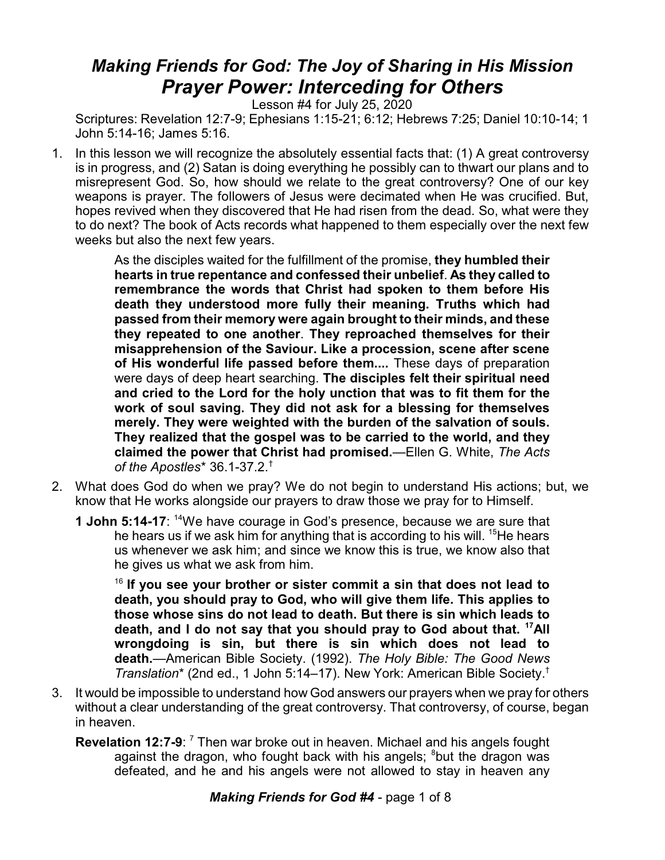## *Making Friends for God: The Joy of Sharing in His Mission Prayer Power: Interceding for Others*

Lesson #4 for July 25, 2020

Scriptures: Revelation 12:7-9; Ephesians 1:15-21; 6:12; Hebrews 7:25; Daniel 10:10-14; 1 John 5:14-16; James 5:16.

1. In this lesson we will recognize the absolutely essential facts that: (1) A great controversy is in progress, and (2) Satan is doing everything he possibly can to thwart our plans and to misrepresent God. So, how should we relate to the great controversy? One of our key weapons is prayer. The followers of Jesus were decimated when He was crucified. But, hopes revived when they discovered that He had risen from the dead. So, what were they to do next? The book of Acts records what happened to them especially over the next few weeks but also the next few years.

> As the disciples waited for the fulfillment of the promise, **they humbled their hearts in true repentance and confessed their unbelief**. **As they called to remembrance the words that Christ had spoken to them before His death they understood more fully their meaning. Truths which had passed from their memory were again brought to their minds, and these they repeated to one another**. **They reproached themselves for their misapprehension of the Saviour. Like a procession, scene after scene of His wonderful life passed before them....** These days of preparation were days of deep heart searching. **The disciples felt their spiritual need and cried to the Lord for the holy unction that was to fit them for the work of soul saving. They did not ask for a blessing for themselves merely. They were weighted with the burden of the salvation of souls. They realized that the gospel was to be carried to the world, and they claimed the power that Christ had promised.**—Ellen G. White, *The Acts of the Apostles*\* 36.1-37.2.†

- 2. What does God do when we pray? We do not begin to understand His actions; but, we know that He works alongside our prayers to draw those we pray for to Himself.
	- **1 John 5:14-17**: <sup>14</sup>We have courage in God's presence, because we are sure that he hears us if we ask him for anything that is according to his will.  $15$ He hears us whenever we ask him; and since we know this is true, we know also that he gives us what we ask from him.

16 **If you see your brother or sister commit a sin that does not lead to death, you should pray to God, who will give them life. This applies to those whose sins do not lead to death. But there is sin which leads to death, and I do not say that you should pray to God about that. <sup>17</sup>All wrongdoing is sin, but there is sin which does not lead to death.**—American Bible Society. (1992). *The Holy Bible: The Good News Translation*\* (2nd ed., 1 John 5:14–17). New York: American Bible Society. †

- 3. It would be impossible to understand how God answers our prayers when we pray for others without a clear understanding of the great controversy. That controversy, of course, began in heaven.
	- **Revelation 12:7-9:** <sup>7</sup> Then war broke out in heaven. Michael and his angels fought against the dragon, who fought back with his angels; <sup>8</sup>but the dragon was defeated, and he and his angels were not allowed to stay in heaven any

*Making Friends for God #4* - page 1 of 8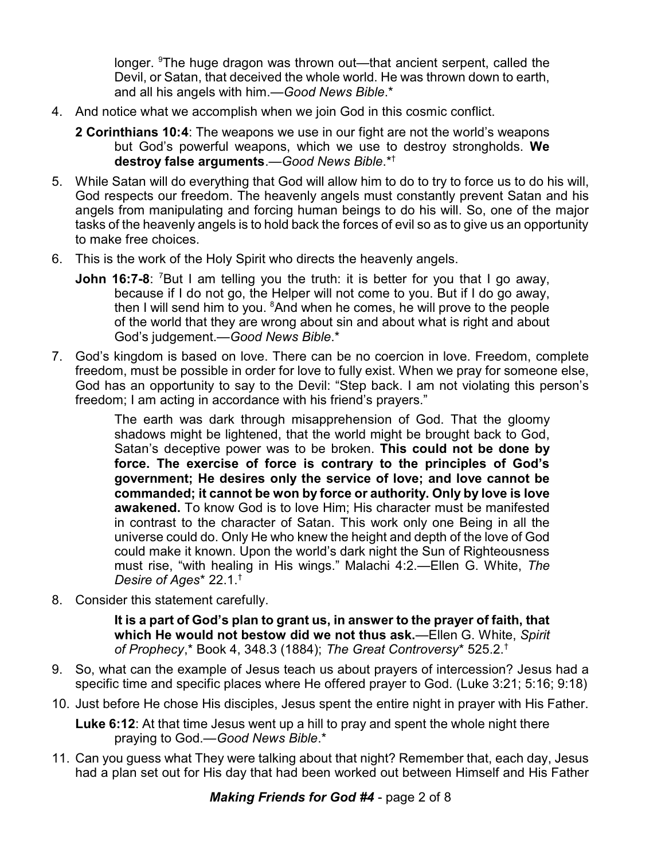longer. <sup>9</sup>The huge dragon was thrown out—that ancient serpent, called the Devil, or Satan, that deceived the whole world. He was thrown down to earth, and all his angels with him.—*Good News Bible*.\*

- 4. And notice what we accomplish when we join God in this cosmic conflict.
	- **2 Corinthians 10:4**: The weapons we use in our fight are not the world's weapons but God's powerful weapons, which we use to destroy strongholds. **We destroy false arguments**.—*Good News Bible*.\*†
- 5. While Satan will do everything that God will allow him to do to try to force us to do his will, God respects our freedom. The heavenly angels must constantly prevent Satan and his angels from manipulating and forcing human beings to do his will. So, one of the major tasks of the heavenly angels is to hold back the forces of evil so as to give us an opportunity to make free choices.
- 6. This is the work of the Holy Spirit who directs the heavenly angels.
	- **John 16:7-8:** <sup>7</sup>But I am telling you the truth: it is better for you that I go away, because if I do not go, the Helper will not come to you. But if I do go away, then I will send him to you. <sup>8</sup>And when he comes, he will prove to the people of the world that they are wrong about sin and about what is right and about God's judgement.—*Good News Bible*.\*
- 7. God's kingdom is based on love. There can be no coercion in love. Freedom, complete freedom, must be possible in order for love to fully exist. When we pray for someone else, God has an opportunity to say to the Devil: "Step back. I am not violating this person's freedom; I am acting in accordance with his friend's prayers."

The earth was dark through misapprehension of God. That the gloomy shadows might be lightened, that the world might be brought back to God, Satan's deceptive power was to be broken. **This could not be done by force. The exercise of force is contrary to the principles of God's government; He desires only the service of love; and love cannot be commanded; it cannot be won by force or authority. Only by love is love awakened.** To know God is to love Him; His character must be manifested in contrast to the character of Satan. This work only one Being in all the universe could do. Only He who knew the height and depth of the love of God could make it known. Upon the world's dark night the Sun of Righteousness must rise, "with healing in His wings." Malachi 4:2.—Ellen G. White, *The Desire of Ages*\* 22.1.†

8. Consider this statement carefully.

**It is a part of God's plan to grant us, in answer to the prayer of faith, that which He would not bestow did we not thus ask.**—Ellen G. White, *Spirit of Prophecy*,\* Book 4, 348.3 (1884); *The Great Controversy*\* 525.2.†

- 9. So, what can the example of Jesus teach us about prayers of intercession? Jesus had a specific time and specific places where He offered prayer to God. (Luke 3:21; 5:16; 9:18)
- 10. Just before He chose His disciples, Jesus spent the entire night in prayer with His Father.

**Luke 6:12**: At that time Jesus went up a hill to pray and spent the whole night there praying to God.—*Good News Bible*.\*

11. Can you guess what They were talking about that night? Remember that, each day, Jesus had a plan set out for His day that had been worked out between Himself and His Father

*Making Friends for God #4* - page 2 of 8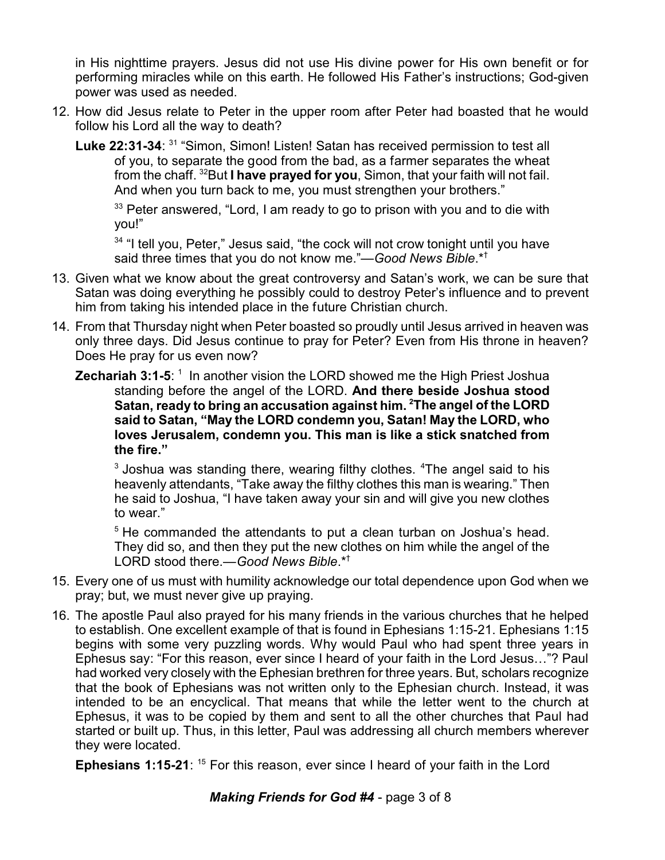in His nighttime prayers. Jesus did not use His divine power for His own benefit or for performing miracles while on this earth. He followed His Father's instructions; God-given power was used as needed.

- 12. How did Jesus relate to Peter in the upper room after Peter had boasted that he would follow his Lord all the way to death?
	- Luke 22:31-34: <sup>31</sup> "Simon, Simon! Listen! Satan has received permission to test all of you, to separate the good from the bad, as a farmer separates the wheat from the chaff. <sup>32</sup>But **I have prayed for you**, Simon, that your faith will not fail. And when you turn back to me, you must strengthen your brothers."

 $33$  Peter answered, "Lord, I am ready to go to prison with you and to die with you!"

<sup>34</sup> "I tell you, Peter," Jesus said, "the cock will not crow tonight until you have said three times that you do not know me."—*Good News Bible*.\*†

- 13. Given what we know about the great controversy and Satan's work, we can be sure that Satan was doing everything he possibly could to destroy Peter's influence and to prevent him from taking his intended place in the future Christian church.
- 14. From that Thursday night when Peter boasted so proudly until Jesus arrived in heaven was only three days. Did Jesus continue to pray for Peter? Even from His throne in heaven? Does He pray for us even now?
	- **Zechariah 3:1-5**: <sup>1</sup> In another vision the LORD showed me the High Priest Joshua standing before the angel of the LORD. **And there beside Joshua stood Satan, ready to bring an accusation against him. <sup>2</sup>The angel of the LORD said to Satan, "May the LORD condemn you, Satan! May the LORD, who loves Jerusalem, condemn you. This man is like a stick snatched from the fire."**

 $^3$  Joshua was standing there, wearing filthy clothes.  $^4$ The angel said to his heavenly attendants, "Take away the filthy clothes this man is wearing." Then he said to Joshua, "I have taken away your sin and will give you new clothes to wear."

<sup>5</sup> He commanded the attendants to put a clean turban on Joshua's head. They did so, and then they put the new clothes on him while the angel of the LORD stood there.—*Good News Bible*.\*†

- 15. Every one of us must with humility acknowledge our total dependence upon God when we pray; but, we must never give up praying.
- 16. The apostle Paul also prayed for his many friends in the various churches that he helped to establish. One excellent example of that is found in Ephesians 1:15-21. Ephesians 1:15 begins with some very puzzling words. Why would Paul who had spent three years in Ephesus say: "For this reason, ever since I heard of your faith in the Lord Jesus…"? Paul had worked very closely with the Ephesian brethren for three years. But, scholars recognize that the book of Ephesians was not written only to the Ephesian church. Instead, it was intended to be an encyclical. That means that while the letter went to the church at Ephesus, it was to be copied by them and sent to all the other churches that Paul had started or built up. Thus, in this letter, Paul was addressing all church members wherever they were located.

**Ephesians 1:15-21**: <sup>15</sup> For this reason, ever since I heard of your faith in the Lord

## *Making Friends for God #4* - page 3 of 8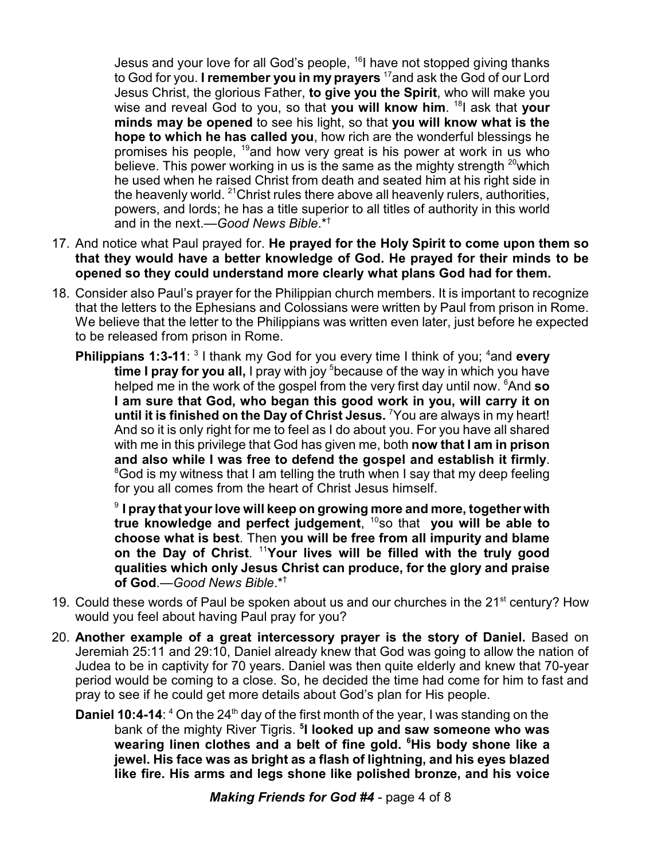Jesus and your love for all God's people, <sup>16</sup>l have not stopped giving thanks to God for you. **I remember you in my prayers** <sup>17</sup> and ask the God of our Lord Jesus Christ, the glorious Father, **to give you the Spirit**, who will make you wise and reveal God to you, so that **you will know him**. 18 I ask that **your minds may be opened** to see his light, so that **you will know what is the hope to which he has called you**, how rich are the wonderful blessings he promises his people, <sup>19</sup>and how very great is his power at work in us who believe. This power working in us is the same as the mighty strength  $^{20}$ which he used when he raised Christ from death and seated him at his right side in the heavenly world. <sup>21</sup>Christ rules there above all heavenly rulers, authorities, powers, and lords; he has a title superior to all titles of authority in this world and in the next.—*Good News Bible*.\*†

- 17. And notice what Paul prayed for. **He prayed for the Holy Spirit to come upon them so that they would have a better knowledge of God. He prayed for their minds to be opened so they could understand more clearly what plans God had for them.**
- 18. Consider also Paul's prayer for the Philippian church members. It is important to recognize that the letters to the Ephesians and Colossians were written by Paul from prison in Rome. We believe that the letter to the Philippians was written even later, just before he expected to be released from prison in Rome.
	- **Philippians 1:3-11**: <sup>3</sup> I thank my God for you every time I think of you; <sup>4</sup>and every **time I pray for you all, I** pray with joy <sup>5</sup> because of the way in which you have helped me in the work of the gospel from the very first day until now. <sup>6</sup>And **so I am sure that God, who began this good work in you, will carry it on until it is finished on the Day of Christ Jesus.** <sup>7</sup>You are always in my heart! And so it is only right for me to feel as I do about you. For you have all shared with me in this privilege that God has given me, both **now that I am in prison and also while I was free to defend the gospel and establish it firmly**. <sup>8</sup>God is my witness that I am telling the truth when I say that my deep feeling for you all comes from the heart of Christ Jesus himself.

9 **I pray that your love will keep on growing more and more, together with true knowledge and perfect judgement**, 10 so that **you will be able to choose what is best**. Then **you will be free from all impurity and blame on the Day of Christ**. <sup>11</sup>**Your lives will be filled with the truly good qualities which only Jesus Christ can produce, for the glory and praise of God**.—*Good News Bible*.\*†

- 19. Could these words of Paul be spoken about us and our churches in the 21<sup>st</sup> century? How would you feel about having Paul pray for you?
- 20. **Another example of a great intercessory prayer is the story of Daniel.** Based on Jeremiah 25:11 and 29:10, Daniel already knew that God was going to allow the nation of Judea to be in captivity for 70 years. Daniel was then quite elderly and knew that 70-year period would be coming to a close. So, he decided the time had come for him to fast and pray to see if he could get more details about God's plan for His people.
	- **Daniel 10:4-14:** <sup>4</sup> On the 24<sup>th</sup> day of the first month of the year, I was standing on the bank of the mighty River Tigris. **<sup>5</sup> I looked up and saw someone who was wearing linen clothes and a belt of fine gold. <sup>6</sup>His body shone like a jewel. His face was as bright as a flash of lightning, and his eyes blazed like fire. His arms and legs shone like polished bronze, and his voice**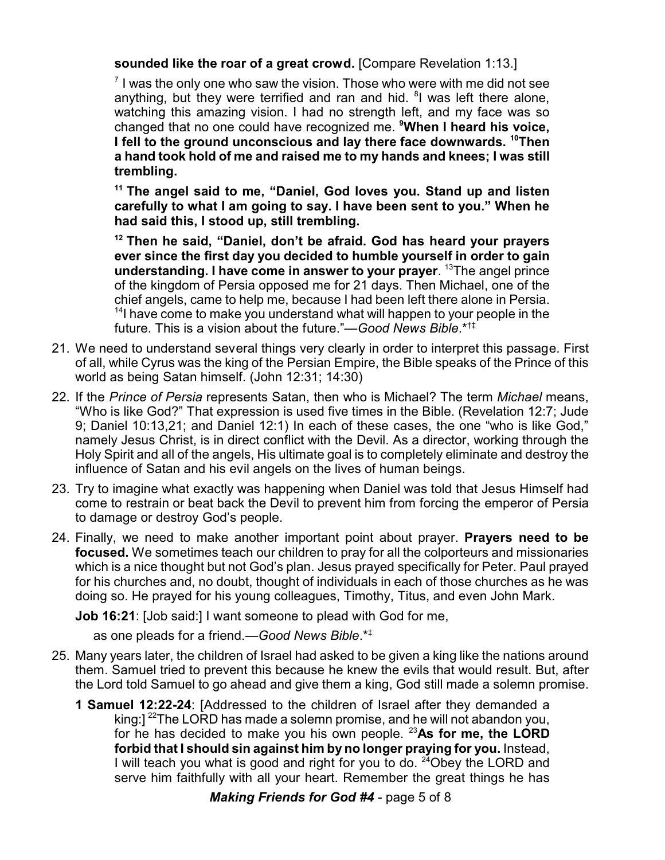**sounded like the roar of a great crowd.** [Compare Revelation 1:13.]

 $^7$  I was the only one who saw the vision. Those who were with me did not see anything, but they were terrified and ran and hid. <sup>8</sup>I was left there alone, watching this amazing vision. I had no strength left, and my face was so changed that no one could have recognized me. **<sup>9</sup>When I heard his voice, I fell to the ground unconscious and lay there face downwards. <sup>10</sup>Then a hand took hold of me and raised me to my hands and knees; I was still trembling.**

**11 The angel said to me, "Daniel, God loves you. Stand up and listen carefully to what I am going to say. I have been sent to you." When he had said this, I stood up, still trembling.** 

**12 Then he said, "Daniel, don't be afraid. God has heard your prayers ever since the first day you decided to humble yourself in order to gain understanding. I have come in answer to your prayer**. <sup>13</sup>The angel prince of the kingdom of Persia opposed me for 21 days. Then Michael, one of the chief angels, came to help me, because I had been left there alone in Persia. <sup>14</sup>l have come to make you understand what will happen to your people in the future. This is a vision about the future."—*Good News Bible*.\*†‡

- 21. We need to understand several things very clearly in order to interpret this passage. First of all, while Cyrus was the king of the Persian Empire, the Bible speaks of the Prince of this world as being Satan himself. (John 12:31; 14:30)
- 22. If the *Prince of Persia* represents Satan, then who is Michael? The term *Michael* means, "Who is like God?" That expression is used five times in the Bible. (Revelation 12:7; Jude 9; Daniel 10:13,21; and Daniel 12:1) In each of these cases, the one "who is like God," namely Jesus Christ, is in direct conflict with the Devil. As a director, working through the Holy Spirit and all of the angels, His ultimate goal is to completely eliminate and destroy the influence of Satan and his evil angels on the lives of human beings.
- 23. Try to imagine what exactly was happening when Daniel was told that Jesus Himself had come to restrain or beat back the Devil to prevent him from forcing the emperor of Persia to damage or destroy God's people.
- 24. Finally, we need to make another important point about prayer. **Prayers need to be focused.** We sometimes teach our children to pray for all the colporteurs and missionaries which is a nice thought but not God's plan. Jesus prayed specifically for Peter. Paul prayed for his churches and, no doubt, thought of individuals in each of those churches as he was doing so. He prayed for his young colleagues, Timothy, Titus, and even John Mark.

**Job 16:21**: [Job said:] I want someone to plead with God for me,

as one pleads for a friend.—*Good News Bible*.\*‡

- 25. Many years later, the children of Israel had asked to be given a king like the nations around them. Samuel tried to prevent this because he knew the evils that would result. But, after the Lord told Samuel to go ahead and give them a king, God still made a solemn promise.
	- **1 Samuel 12:22-24**: [Addressed to the children of Israel after they demanded a king:] <sup>22</sup>The LORD has made a solemn promise, and he will not abandon you, for he has decided to make you his own people. <sup>23</sup>**As for me, the LORD forbid that I should sin against him by no longer praying for you.** Instead, I will teach you what is good and right for you to do. <sup>24</sup>Obey the LORD and serve him faithfully with all your heart. Remember the great things he has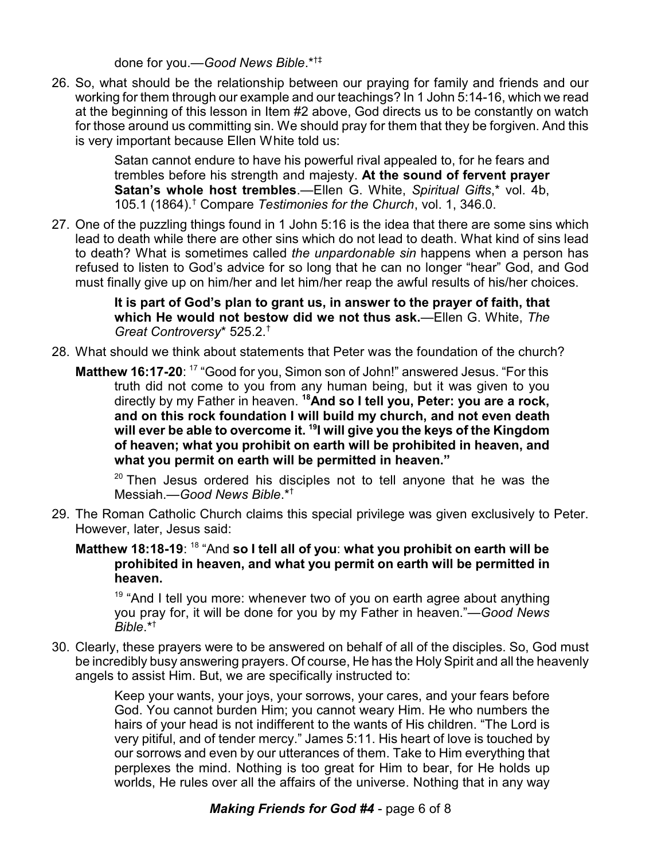done for you.—*Good News Bible*.\*†‡

26. So, what should be the relationship between our praying for family and friends and our working for them through our example and our teachings? In 1 John 5:14-16, which we read at the beginning of this lesson in Item #2 above, God directs us to be constantly on watch for those around us committing sin. We should pray for them that they be forgiven. And this is very important because Ellen White told us:

> Satan cannot endure to have his powerful rival appealed to, for he fears and trembles before his strength and majesty. **At the sound of fervent prayer Satan's whole host trembles**.—Ellen G. White, *Spiritual Gifts*,\* vol. 4b, 105.1 (1864).† Compare *Testimonies for the Church*, vol. 1, 346.0.

27. One of the puzzling things found in 1 John 5:16 is the idea that there are some sins which lead to death while there are other sins which do not lead to death. What kind of sins lead to death? What is sometimes called *the unpardonable sin* happens when a person has refused to listen to God's advice for so long that he can no longer "hear" God, and God must finally give up on him/her and let him/her reap the awful results of his/her choices.

> **It is part of God's plan to grant us, in answer to the prayer of faith, that which He would not bestow did we not thus ask.**—Ellen G. White, *The Great Controversy*\* 525.2.†

- 28. What should we think about statements that Peter was the foundation of the church?
	- Matthew 16:17-20: <sup>17</sup> "Good for you, Simon son of John!" answered Jesus. "For this truth did not come to you from any human being, but it was given to you directly by my Father in heaven. **<sup>18</sup>And so I tell you, Peter: you are a rock, and on this rock foundation I will build my church, and not even death will ever be able to overcome it. <sup>19</sup> I will give you the keys of the Kingdom of heaven; what you prohibit on earth will be prohibited in heaven, and what you permit on earth will be permitted in heaven."**

<sup>20</sup> Then Jesus ordered his disciples not to tell anyone that he was the Messiah.—*Good News Bible*.\*†

- 29. The Roman Catholic Church claims this special privilege was given exclusively to Peter. However, later, Jesus said:
	- **Matthew 18:18-19**: <sup>18</sup> "And **so I tell all of you**: **what you prohibit on earth will be prohibited in heaven, and what you permit on earth will be permitted in heaven.**

<sup>19</sup> "And I tell you more: whenever two of you on earth agree about anything you pray for, it will be done for you by my Father in heaven."—*Good News Bible*.\*†

30. Clearly, these prayers were to be answered on behalf of all of the disciples. So, God must be incredibly busy answering prayers. Of course, He has the Holy Spirit and all the heavenly angels to assist Him. But, we are specifically instructed to:

> Keep your wants, your joys, your sorrows, your cares, and your fears before God. You cannot burden Him; you cannot weary Him. He who numbers the hairs of your head is not indifferent to the wants of His children. "The Lord is very pitiful, and of tender mercy." James 5:11. His heart of love is touched by our sorrows and even by our utterances of them. Take to Him everything that perplexes the mind. Nothing is too great for Him to bear, for He holds up worlds, He rules over all the affairs of the universe. Nothing that in any way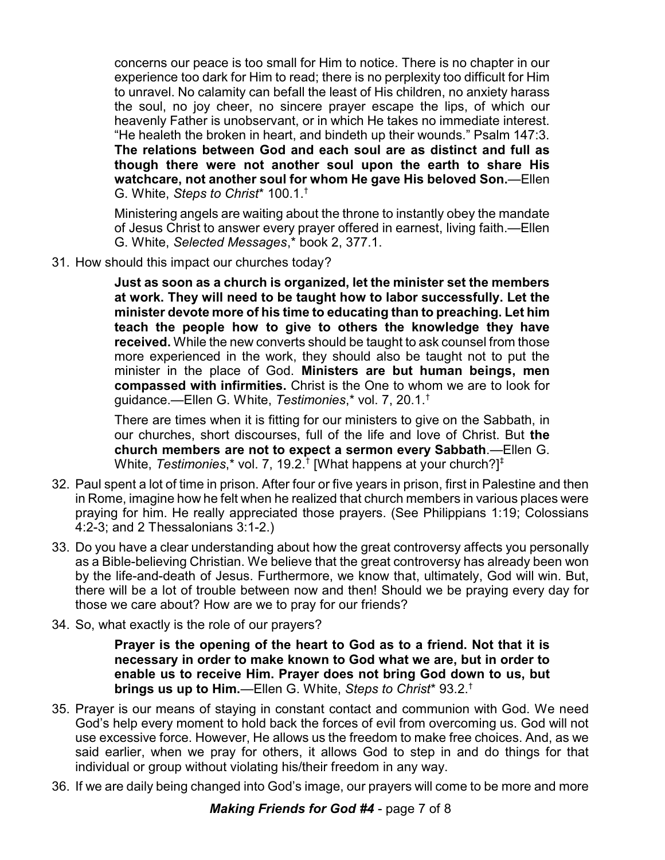concerns our peace is too small for Him to notice. There is no chapter in our experience too dark for Him to read; there is no perplexity too difficult for Him to unravel. No calamity can befall the least of His children, no anxiety harass the soul, no joy cheer, no sincere prayer escape the lips, of which our heavenly Father is unobservant, or in which He takes no immediate interest. "He healeth the broken in heart, and bindeth up their wounds." Psalm 147:3. **The relations between God and each soul are as distinct and full as though there were not another soul upon the earth to share His watchcare, not another soul for whom He gave His beloved Son.**—Ellen G. White, *Steps to Christ*\* 100.1.†

Ministering angels are waiting about the throne to instantly obey the mandate of Jesus Christ to answer every prayer offered in earnest, living faith.—Ellen G. White, *Selected Messages*,\* book 2, 377.1.

31. How should this impact our churches today?

**Just as soon as a church is organized, let the minister set the members at work. They will need to be taught how to labor successfully. Let the minister devote more of his time to educating than to preaching. Let him teach the people how to give to others the knowledge they have received.** While the new converts should be taught to ask counsel from those more experienced in the work, they should also be taught not to put the minister in the place of God. **Ministers are but human beings, men compassed with infirmities.** Christ is the One to whom we are to look for guidance.—Ellen G. White, *Testimonies*,\* vol. 7, 20.1.†

There are times when it is fitting for our ministers to give on the Sabbath, in our churches, short discourses, full of the life and love of Christ. But **the church members are not to expect a sermon every Sabbath**.—Ellen G. White, *Testimonies*,\* vol. 7, 19.2.† [What happens at your church?]‡

- 32. Paul spent a lot of time in prison. After four or five years in prison, first in Palestine and then in Rome, imagine how he felt when he realized that church members in various places were praying for him. He really appreciated those prayers. (See Philippians 1:19; Colossians 4:2-3; and 2 Thessalonians 3:1-2.)
- 33. Do you have a clear understanding about how the great controversy affects you personally as a Bible-believing Christian. We believe that the great controversy has already been won by the life-and-death of Jesus. Furthermore, we know that, ultimately, God will win. But, there will be a lot of trouble between now and then! Should we be praying every day for those we care about? How are we to pray for our friends?
- 34. So, what exactly is the role of our prayers?

**Prayer is the opening of the heart to God as to a friend. Not that it is necessary in order to make known to God what we are, but in order to enable us to receive Him. Prayer does not bring God down to us, but brings us up to Him.**—Ellen G. White, *Steps to Christ*\* 93.2.†

- 35. Prayer is our means of staying in constant contact and communion with God. We need God's help every moment to hold back the forces of evil from overcoming us. God will not use excessive force. However, He allows us the freedom to make free choices. And, as we said earlier, when we pray for others, it allows God to step in and do things for that individual or group without violating his/their freedom in any way.
- 36. If we are daily being changed into God's image, our prayers will come to be more and more